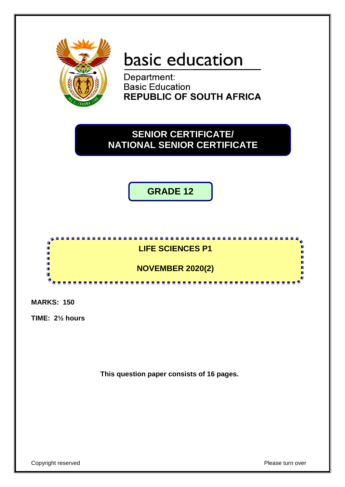

# basic education

Department: **Basic Education REPUBLIC OF SOUTH AFRICA** 

# **SENIOR CERTIFICATE/ NATIONAL SENIOR CERTIFICATE**

**GRADE 12**



**MARKS: 150**

**TIME: 2½ hours**

**This question paper consists of 16 pages.**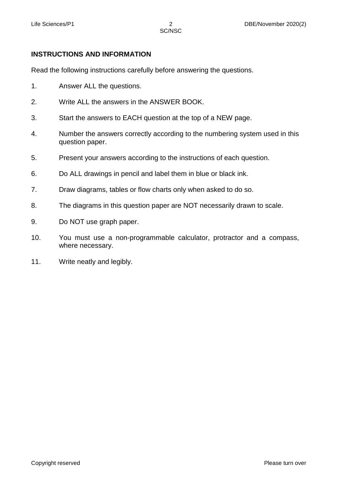# **INSTRUCTIONS AND INFORMATION**

Read the following instructions carefully before answering the questions.

- 1. Answer ALL the questions.
- 2. Write ALL the answers in the ANSWER BOOK.
- 3. Start the answers to EACH question at the top of a NEW page.
- 4. Number the answers correctly according to the numbering system used in this question paper.
- 5. Present your answers according to the instructions of each question.
- 6. Do ALL drawings in pencil and label them in blue or black ink.
- 7. Draw diagrams, tables or flow charts only when asked to do so.
- 8. The diagrams in this question paper are NOT necessarily drawn to scale.
- 9. Do NOT use graph paper.
- 10. You must use a non-programmable calculator, protractor and a compass, where necessary.
- 11. Write neatly and legibly.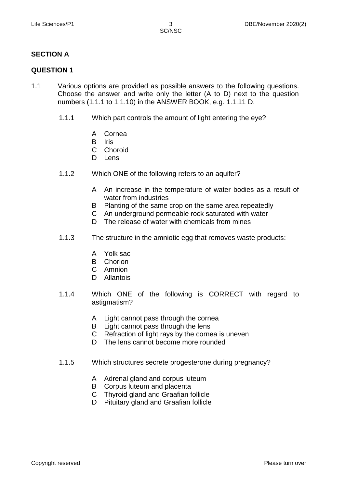### **SECTION A**

#### **QUESTION 1**

- 1.1 Various options are provided as possible answers to the following questions. Choose the answer and write only the letter (A to D) next to the question numbers (1.1.1 to 1.1.10) in the ANSWER BOOK, e.g. 1.1.11 D.
	- 1.1.1 Which part controls the amount of light entering the eye?
		- A Cornea
		- B **Iris**
		- $\mathbf{C}$ Choroid
		- D Lens
	- 1.1.2 Which ONE of the following refers to an aquifer?
		- A An increase in the temperature of water bodies as a result of water from industries
		- B Planting of the same crop on the same area repeatedly
		- C An underground permeable rock saturated with water
		- D. The release of water with chemicals from mines
	- 1.1.3 The structure in the amniotic egg that removes waste products:
		- A Yolk sac
		- B Chorion
		- C Amnion
		- D Allantois
	- 1.1.4 Which ONE of the following is CORRECT with regard to astigmatism?
		- A Light cannot pass through the cornea
		- B Light cannot pass through the lens
		- C Refraction of light rays by the cornea is uneven
		- D The lens cannot become more rounded
	- 1.1.5 Which structures secrete progesterone during pregnancy?
		- A Adrenal gland and corpus luteum
		- B Corpus luteum and placenta
		- C Thyroid gland and Graafian follicle
		- D Pituitary gland and Graafian follicle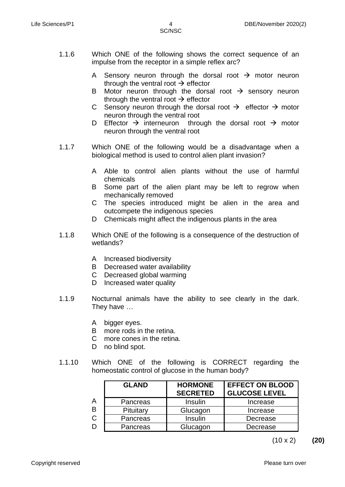- A Sensory neuron through the dorsal root  $\rightarrow$  motor neuron through the ventral root  $\rightarrow$  effector
- B Motor neuron through the dorsal root  $\rightarrow$  sensory neuron through the ventral root  $\rightarrow$  effector
- C Sensory neuron through the dorsal root  $\rightarrow$  effector  $\rightarrow$  motor neuron through the ventral root
- D Effector  $\rightarrow$  interneuron through the dorsal root  $\rightarrow$  motor neuron through the ventral root
- 1.1.7 Which ONE of the following would be a disadvantage when a biological method is used to control alien plant invasion?
	- A Able to control alien plants without the use of harmful chemicals
	- B Some part of the alien plant may be left to regrow when mechanically removed
	- C The species introduced might be alien in the area and outcompete the indigenous species
	- D Chemicals might affect the indigenous plants in the area
- 1.1.8 Which ONE of the following is a consequence of the destruction of wetlands?
	- A Increased biodiversity
	- B Decreased water availability
	- C Decreased global warming
	- D Increased water quality
- 1.1.9 Nocturnal animals have the ability to see clearly in the dark. They have …
	- A bigger eyes.
	- B more rods in the retina.
	- C more cones in the retina.
	- D no blind spot.
- 1.1.10 Which ONE of the following is CORRECT regarding the homeostatic control of glucose in the human body?

|   | <b>GLAND</b> | <b>HORMONE</b><br><b>SECRETED</b> | <b>EFFECT ON BLOOD</b><br><b>GLUCOSE LEVEL</b> |
|---|--------------|-----------------------------------|------------------------------------------------|
| A | Pancreas     | Insulin                           | Increase                                       |
| B | Pituitary    | Glucagon                          | Increase                                       |
| C | Pancreas     | Insulin                           | Decrease                                       |
| D | Pancreas     | Glucagon                          | Decrease                                       |

(10 x 2) **(20)**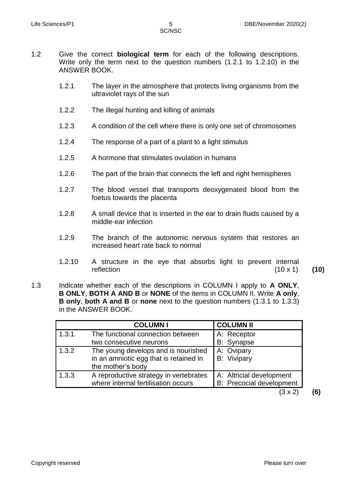- 1.2 Give the correct **biological term** for each of the following descriptions. Write only the term next to the question numbers (1.2.1 to 1.2.10) in the ANSWER BOOK.
	- 1.2.1 The layer in the atmosphere that protects living organisms from the ultraviolet rays of the sun
	- 1.2.2 The illegal hunting and killing of animals
	- 1.2.3 A condition of the cell where there is only one set of chromosomes
	- 1.2.4 The response of a part of a plant to a light stimulus
	- 1.2.5 A hormone that stimulates ovulation in humans
	- 1.2.6 The part of the brain that connects the left and right hemispheres
	- 1.2.7 The blood vessel that transports deoxygenated blood from the foetus towards the placenta
	- 1.2.8 A small device that is inserted in the ear to drain fluids caused by a middle-ear infection
	- 1.2.9 The branch of the autonomic nervous system that restores an increased heart rate back to normal
	- 1.2.10 A structure in the eye that absorbs light to prevent internal reflection (10 x 1) **(10)**
- 1.3 Indicate whether each of the descriptions in COLUMN I apply to **A ONLY**, **B ONLY**, **BOTH A AND B** or **NONE** of the items in COLUMN II. Write **A only**, **B only**, **both A and B** or **none** next to the question numbers (1.3.1 to 1.3.3) in the ANSWER BOOK.

|       | <b>COLUMN I</b>                                                                                    | <b>COLUMN II</b>                                            |
|-------|----------------------------------------------------------------------------------------------------|-------------------------------------------------------------|
| 1.3.1 | The functional connection between<br>two consecutive neurons                                       | A: Receptor<br><b>B:</b> Synapse                            |
| 1.3.2 | The young develops and is nourished<br>in an amniotic egg that is retained in<br>the mother's body | A: Ovipary<br><b>B:</b> Vivipary                            |
| 1.3.3 | A reproductive strategy in vertebrates<br>where internal fertilisation occurs                      | A: Altricial development<br><b>B:</b> Precocial development |
|       |                                                                                                    | 3 x 2                                                       |

Copyright reserved **Please turn over the Copyright reserved** Please turn over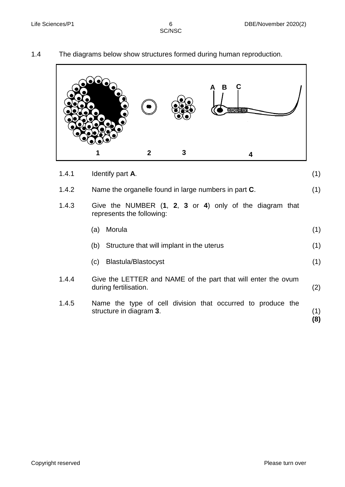|       |                  |             |   | в                                                       |  |
|-------|------------------|-------------|---|---------------------------------------------------------|--|
|       |                  | $\mathbf 2$ | 3 | 4                                                       |  |
| 1.4.1 | Identify part A. |             |   |                                                         |  |
| 1.4.2 |                  |             |   | Name the organelle found in large numbers in part C.    |  |
| 1.4.3 |                  |             |   | Give the NUMBER (1, 2, 3 or 4) only of the diagram that |  |

# 1.4 The diagrams below show structures formed during human reproduction.

| 1.4.1 | Identify part A.                                                                       |            |  |
|-------|----------------------------------------------------------------------------------------|------------|--|
| 1.4.2 | Name the organelle found in large numbers in part C.                                   |            |  |
| 1.4.3 | Give the NUMBER (1, 2, 3 or 4) only of the diagram that<br>represents the following:   |            |  |
|       | Morula<br>(a)                                                                          | (1)        |  |
|       | (b) Structure that will implant in the uterus                                          | (1)        |  |
|       | <b>Blastula/Blastocyst</b><br>(C)                                                      | (1)        |  |
| 1.4.4 | Give the LETTER and NAME of the part that will enter the ovum<br>during fertilisation. | (2)        |  |
| 1.4.5 | Name the type of cell division that occurred to produce the<br>structure in diagram 3. | (1)<br>(8) |  |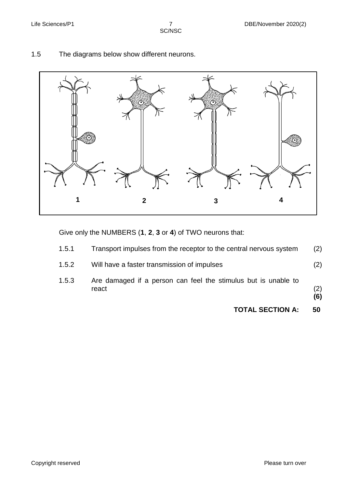



# 1.5 The diagrams below show different neurons.

Give only the NUMBERS (**1**, **2**, **3** or **4**) of TWO neurons that:

|       | <b>TOTAL SECTION A:</b>                                                 | 50         |
|-------|-------------------------------------------------------------------------|------------|
| 1.5.3 | Are damaged if a person can feel the stimulus but is unable to<br>react | (2)<br>(6) |
| 1.5.2 | Will have a faster transmission of impulses                             | (2)        |
| 1.5.1 | Transport impulses from the receptor to the central nervous system      | (2)        |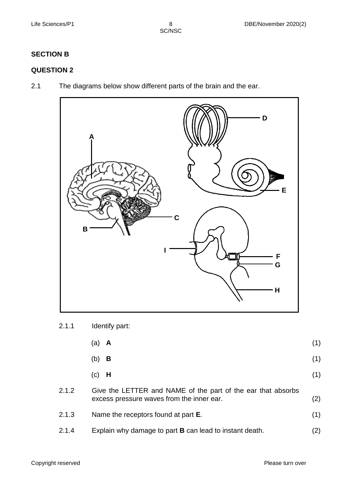# **SECTION B**

# **QUESTION 2**

2.1 The diagrams below show different parts of the brain and the ear.



# 2.1.1 Identify part:

|       | A<br>(a)                                                                                                  | (1) |
|-------|-----------------------------------------------------------------------------------------------------------|-----|
|       | B<br>(b)                                                                                                  | (1) |
|       | - H<br>(c)                                                                                                | (1) |
| 2.1.2 | Give the LETTER and NAME of the part of the ear that absorbs<br>excess pressure waves from the inner ear. | (2) |
| 2.1.3 | Name the receptors found at part <b>E</b> .                                                               | (1) |
| 2.1.4 | Explain why damage to part <b>B</b> can lead to instant death.                                            | (2) |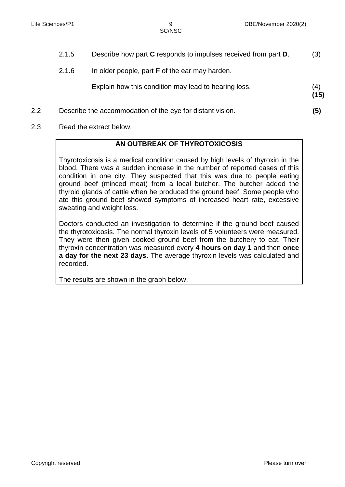|         | 2.1.5 | Describe how part C responds to impulses received from part D. | (3)         |
|---------|-------|----------------------------------------------------------------|-------------|
|         | 2.1.6 | In older people, part <b>F</b> of the ear may harden.          |             |
|         |       | Explain how this condition may lead to hearing loss.           | (4)<br>(15) |
| $2.2\,$ |       | Describe the accommodation of the eye for distant vision.      | (5)         |

2.3 Read the extract below.

#### **AN OUTBREAK OF THYROTOXICOSIS**

Thyrotoxicosis is a medical condition caused by high levels of thyroxin in the blood. There was a sudden increase in the number of reported cases of this condition in one city. They suspected that this was due to people eating ground beef (minced meat) from a local butcher. The butcher added the thyroid glands of cattle when he produced the ground beef. Some people who ate this ground beef showed symptoms of increased heart rate, excessive sweating and weight loss.

Doctors conducted an investigation to determine if the ground beef caused the thyrotoxicosis. The normal thyroxin levels of 5 volunteers were measured. They were then given cooked ground beef from the butchery to eat. Their thyroxin concentration was measured every **4 hours on day 1** and then **once a day for the next 23 days**. The average thyroxin levels was calculated and recorded.

The results are shown in the graph below.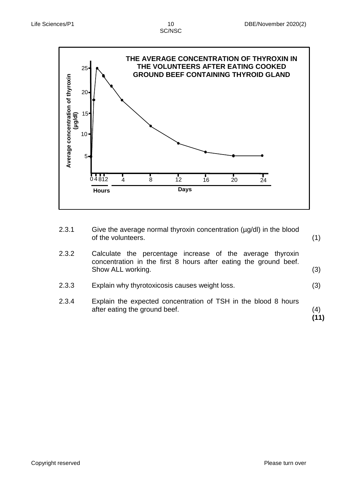

2.3.1 Give the average normal thyroxin concentration (µg/dl) in the blood of the volunteers.

2.3.2 Calculate the percentage increase of the average thyroxin concentration in the first 8 hours after eating the ground beef. Show ALL working.

- 2.3.3 Explain why thyrotoxicosis causes weight loss. (3)
- 2.3.4 Explain the expected concentration of TSH in the blood 8 hours after eating the ground beef. (4)

**(11)**

(1)

(3)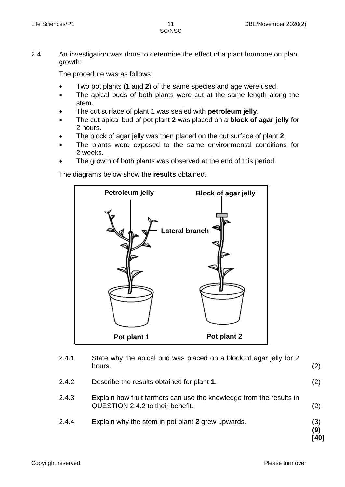SC/NSC

2.4 An investigation was done to determine the effect of a plant hormone on plant growth:

The procedure was as follows:

- Two pot plants (**1** and **2**) of the same species and age were used.
- The apical buds of both plants were cut at the same length along the stem.
- The cut surface of plant **1** was sealed with **petroleum jelly**.
- The cut apical bud of pot plant **2** was placed on a **block of agar jelly** for 2 hours.
- The block of agar jelly was then placed on the cut surface of plant **2**.
- The plants were exposed to the same environmental conditions for 2 weeks.
- The growth of both plants was observed at the end of this period.

The diagrams below show the **results** obtained.



| 2.4.1 | State why the apical bud was placed on a block of agar jelly for 2<br>hours.                            | (2)                |
|-------|---------------------------------------------------------------------------------------------------------|--------------------|
| 2.4.2 | Describe the results obtained for plant 1.                                                              | (2)                |
| 2.4.3 | Explain how fruit farmers can use the knowledge from the results in<br>QUESTION 2.4.2 to their benefit. | (2)                |
| 2.4.4 | Explain why the stem in pot plant 2 grew upwards.                                                       | (3)<br>(9)<br>[40] |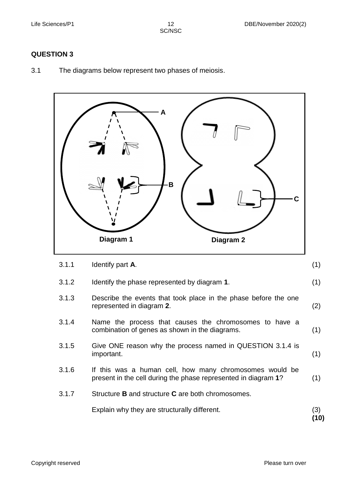SC/NSC

#### **QUESTION 3**

3.1 The diagrams below represent two phases of meiosis.

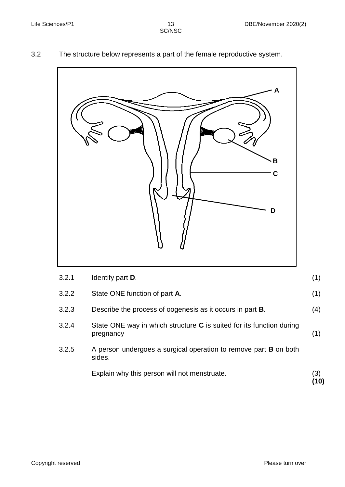### 3.2 The structure below represents a part of the female reproductive system.



| 3.2.2 | State ONE function of part A.                                                     | (1) |
|-------|-----------------------------------------------------------------------------------|-----|
| 3.2.3 | Describe the process of oogenesis as it occurs in part <b>B</b> .                 | (4) |
| 3.2.4 | State ONE way in which structure C is suited for its function during<br>pregnancy | (1) |
| 3.2.5 | A person undergoes a surgical operation to remove part <b>B</b> on both<br>sides. |     |
|       | Explain why this person will not menstruate.                                      |     |

(1)

**(10)**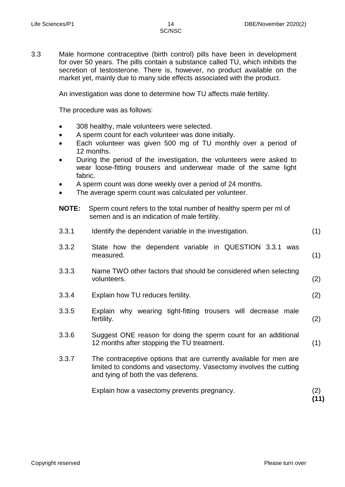3.3 Male hormone contraceptive (birth control) pills have been in development for over 50 years. The pills contain a substance called TU, which inhibits the secretion of testosterone. There is, however, no product available on the market yet, mainly due to many side effects associated with the product.

An investigation was done to determine how TU affects male fertility.

The procedure was as follows:

- 308 healthy, male volunteers were selected.
- A sperm count for each volunteer was done initially.
- Each volunteer was given 500 mg of TU monthly over a period of 12 months.
- During the period of the investigation, the volunteers were asked to wear loose-fitting trousers and underwear made of the same light fabric.
- A sperm count was done weekly over a period of 24 months.
- The average sperm count was calculated per volunteer.
- **NOTE:** Sperm count refers to the total number of healthy sperm per ml of semen and is an indication of male fertility.

| 3.3.1 | Identify the dependent variable in the investigation.                                                                                                                         | (1) |
|-------|-------------------------------------------------------------------------------------------------------------------------------------------------------------------------------|-----|
| 3.3.2 | State how the dependent variable in QUESTION 3.3.1 was<br>measured.                                                                                                           | (1) |
| 3.3.3 | Name TWO other factors that should be considered when selecting<br>volunteers.                                                                                                | (2) |
| 3.3.4 | Explain how TU reduces fertility.                                                                                                                                             | (2) |
| 3.3.5 | Explain why wearing tight-fitting trousers will decrease male<br>fertility.                                                                                                   | (2) |
| 3.3.6 | Suggest ONE reason for doing the sperm count for an additional<br>12 months after stopping the TU treatment.                                                                  | (1) |
| 3.3.7 | The contraceptive options that are currently available for men are<br>limited to condoms and vasectomy. Vasectomy involves the cutting<br>and tying of both the vas deferens. |     |
|       | Explain how a vasectomy prevents pregnancy.                                                                                                                                   | (2) |

**(11)**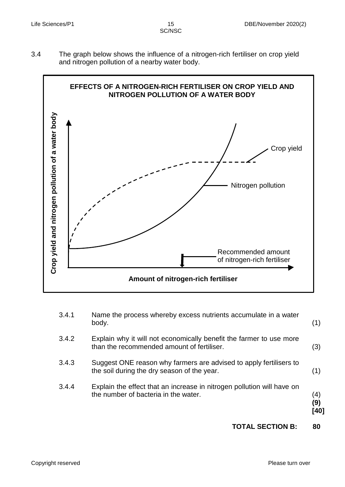3.4 The graph below shows the influence of a nitrogen-rich fertiliser on crop yield and nitrogen pollution of a nearby water body.



|       | the number of bacteria in the water.                                                                              | (4)<br>(9)<br>[40] |
|-------|-------------------------------------------------------------------------------------------------------------------|--------------------|
| 3.4.4 | Explain the effect that an increase in nitrogen pollution will have on                                            |                    |
| 3.4.3 | Suggest ONE reason why farmers are advised to apply fertilisers to<br>the soil during the dry season of the year. | (1)                |
| 3.4.2 | Explain why it will not economically benefit the farmer to use more<br>than the recommended amount of fertiliser. | (3)                |
| 3.4.1 | Name the process whereby excess nutrients accumulate in a water<br>body.                                          | (1)                |

# **TOTAL SECTION B: 80**